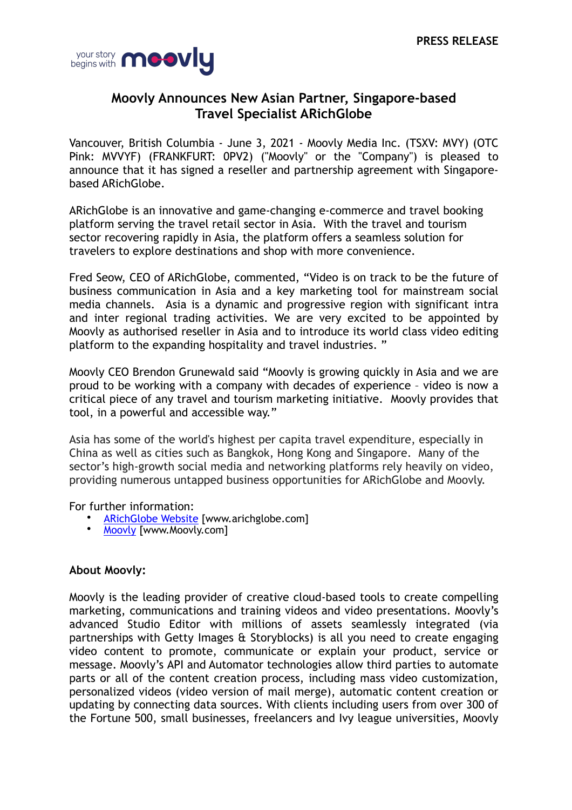

## **Moovly Announces New Asian Partner, Singapore-based Travel Specialist ARichGlobe**

Vancouver, British Columbia - June 3, 2021 - Moovly Media Inc. (TSXV: MVY) (OTC Pink: MVVYF) (FRANKFURT: 0PV2) ("Moovly" or the "Company") is pleased to announce that it has signed a reseller and partnership agreement with Singaporebased ARichGlobe.

ARichGlobe is an innovative and game-changing e-commerce and travel booking platform serving the travel retail sector in Asia. With the travel and tourism sector recovering rapidly in Asia, the platform offers a seamless solution for travelers to explore destinations and shop with more convenience.

Fred Seow, CEO of ARichGlobe, commented, "Video is on track to be the future of business communication in Asia and a key marketing tool for mainstream social media channels. Asia is a dynamic and progressive region with significant intra and inter regional trading activities. We are very excited to be appointed by Moovly as authorised reseller in Asia and to introduce its world class video editing platform to the expanding hospitality and travel industries. "

Moovly CEO Brendon Grunewald said "Moovly is growing quickly in Asia and we are proud to be working with a company with decades of experience – video is now a critical piece of any travel and tourism marketing initiative. Moovly provides that tool, in a powerful and accessible way."

Asia has some of the world's highest per capita travel expenditure, especially in China as well as cities such as Bangkok, Hong Kong and Singapore. Many of the sector's high-growth social media and networking platforms rely heavily on video, providing numerous untapped business opportunities for ARichGlobe and Moovly.

For further information:

- [ARichGlobe Website](http://www.arichglobe.com/) [www.arichglobe.com]
- [Moovly](http://www.moovly.com/) [www.Moovly.com]

## **About Moovly:**

Moovly is the leading provider of creative cloud-based tools to create compelling marketing, communications and training videos and video presentations. Moovly's advanced Studio Editor with millions of assets seamlessly integrated (via partnerships with Getty Images & Storyblocks) is all you need to create engaging video content to promote, communicate or explain your product, service or message. Moovly's API and Automator technologies allow third parties to automate parts or all of the content creation process, including mass video customization, personalized videos (video version of mail merge), automatic content creation or updating by connecting data sources. With clients including users from over 300 of the Fortune 500, small businesses, freelancers and Ivy league universities, Moovly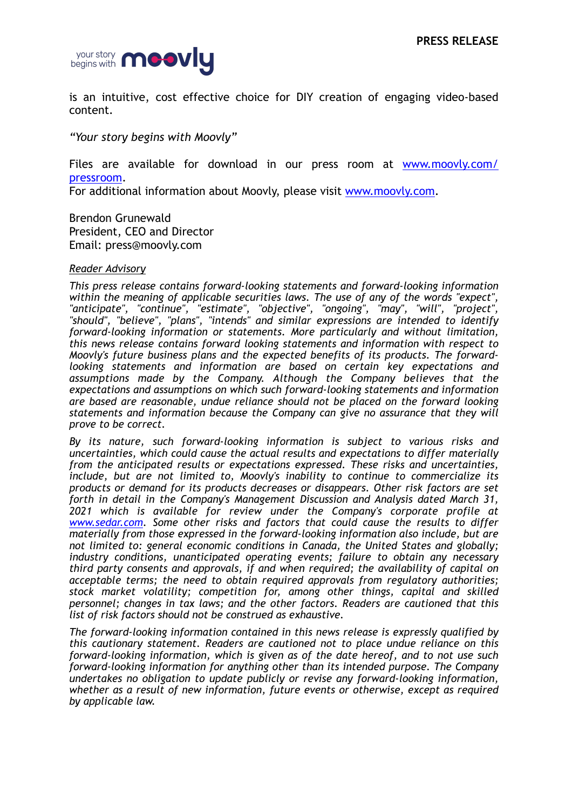

is an intuitive, cost effective choice for DIY creation of engaging video-based content.

*"Your story begins with Moovly"*

Files are available for download in our press room at [www.moovly.com/](http://www.moovly.com/pressroom) [pressroom](http://www.moovly.com/pressroom).

For additional information about Moovly, please visit [www.moovly.com](https://www.moovly.com/).

Brendon Grunewald President, CEO and Director Email: press@moovly.com

## *Reader Advisory*

*This press release contains forward-looking statements and forward-looking information within the meaning of applicable securities laws. The use of any of the words "expect", "anticipate", "continue", "estimate", "objective", "ongoing", "may", "will", "project", "should", "believe", "plans", "intends" and similar expressions are intended to identify forward-looking information or statements. More particularly and without limitation, this news release contains forward looking statements and information with respect to Moovly's future business plans and the expected benefits of its products. The forwardlooking statements and information are based on certain key expectations and assumptions made by the Company. Although the Company believes that the expectations and assumptions on which such forward-looking statements and information are based are reasonable, undue reliance should not be placed on the forward looking statements and information because the Company can give no assurance that they will prove to be correct.* 

*By its nature, such forward-looking information is subject to various risks and uncertainties, which could cause the actual results and expectations to differ materially from the anticipated results or expectations expressed. These risks and uncertainties, include, but are not limited to, Moovly's inability to continue to commercialize its products or demand for its products decreases or disappears. Other risk factors are set forth in detail in the Company's Management Discussion and Analysis dated March 31, 2021 which is available for review under the Company's corporate profile at [www.sedar.com.](http://www.sedar.com/) Some other risks and factors that could cause the results to differ materially from those expressed in the forward-looking information also include, but are not limited to: general economic conditions in Canada, the United States and globally; industry conditions, unanticipated operating events; failure to obtain any necessary third party consents and approvals, if and when required; the availability of capital on acceptable terms; the need to obtain required approvals from regulatory authorities; stock market volatility; competition for, among other things, capital and skilled personnel; changes in tax laws; and the other factors. Readers are cautioned that this list of risk factors should not be construed as exhaustive.* 

*The forward-looking information contained in this news release is expressly qualified by this cautionary statement. Readers are cautioned not to place undue reliance on this forward-looking information, which is given as of the date hereof, and to not use such forward-looking information for anything other than its intended purpose. The Company undertakes no obligation to update publicly or revise any forward-looking information, whether as a result of new information, future events or otherwise, except as required by applicable law.*